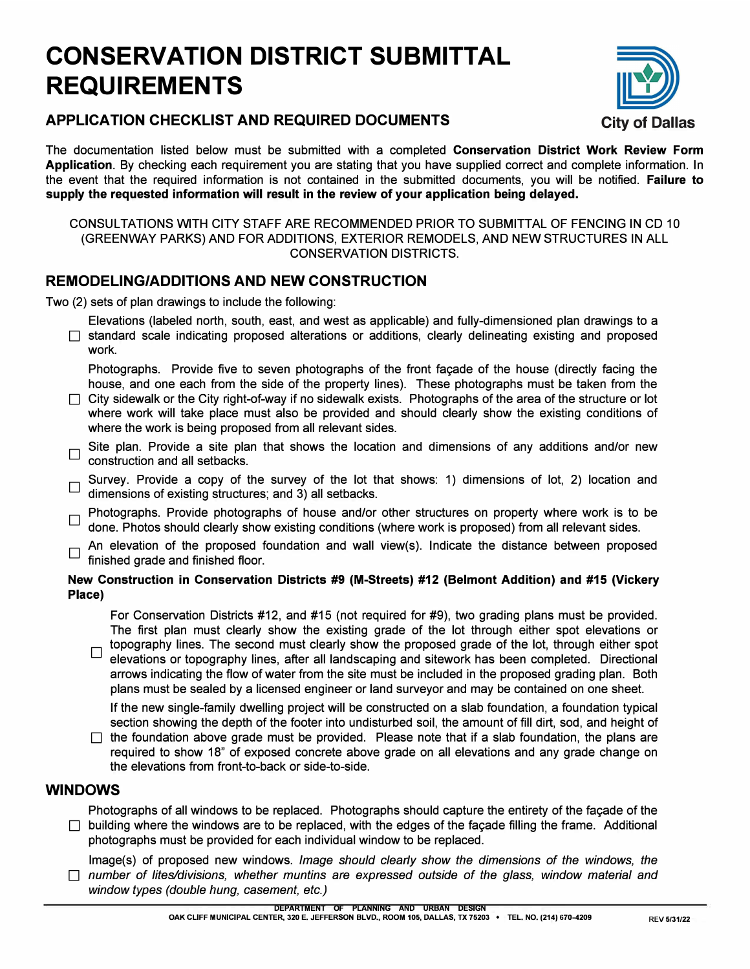# **CONSERVATION DISTRICT SUBMITTAL REQUIREMENTS**



# **APPLICATION CHECKLIST AND REQUIRED DOCUMENTS City of Dallas**

The documentation listed below must be submitted with a completed **Conservation District Work Review Form Application.** By checking each requirement you are stating that you have supplied correct and complete information. In the event that the required information is not contained in the submitted documents, you will be notified. **Failure to supply the requested information will result in the review of your application being delayed.** 

#### CONSULTATIONS WITH CITY STAFF ARE RECOMMENDED PRIOR TO SUBMITTAL OF FENCING IN CD 10 (GREENWAY PARKS) AND FOR ADDITIONS, EXTERIOR REMODELS, AND NEW STRUCTURES IN ALL CONSERVATION DISTRICTS.

### **REMODELING/ADDITIONS AND NEW CONSTRUCTION**

Two (2) sets of plan drawings to include the following:

Elevations (labeled north, south, east, and west as applicable) and fully-dimensioned plan drawings to a  $\Box$  standard scale indicating proposed alterations or additions, clearly delineating existing and proposed work.

Photographs. Provide five to seven photographs of the front facade of the house (directly facing the house, and one each from the side of the property lines). These photographs must be taken from the

- $\Box$  City sidewalk or the City right-of-way if no sidewalk exists. Photographs of the area of the structure or lot where work will take place must also be provided and should clearly show the existing conditions of where the work is being proposed from all relevant sides.
- $\Box$  Site plan. Provide a site plan that shows the location and dimensions of any additions and/or new construction and all setbacks.
- Survey. Provide a copy of the survey of the lot that shows: 1) dimensions of lot, 2) location and dimensions of existing structures; and 3) all setbacks.
- Photographs. Provide photographs of house and/or other structures on property where work is to be done. Photos should clearly show existing conditions (where work is proposed) from all relevant sides.

An elevation of the proposed foundation and wall view(s). Indicate the distance between proposed finished grade and finished floor.

#### **New Construction in Conservation Districts #9 (M-Streets) #12 (Belmont Addition) and #15 (Vickery Place)**

For Conservation Districts #12, and #15 (not required for #9), two grading plans must be provided. The first plan must clearly show the existing grade of the lot through either spot elevations or

topography lines. The second must clearly show the proposed grade of the lot, through either spot elevations or topography lines, after all landscaping and sitework has been completed. Directional arrows indicating the flow of water from the site must be included in the proposed grading plan. Both plans must be sealed by a licensed engineer or land surveyor and may be contained on one sheet.

If the new single-family dwelling project will be constructed on a slab foundation, a foundation typical section showing the depth of the footer into undisturbed soil, the amount of fill dirt, sod, and height of

 $\Box$  the foundation above grade must be provided. Please note that if a slab foundation, the plans are required to show 18" of exposed concrete above grade on all elevations and any grade change on the elevations from front-to-back or side-to-side.

### **WINDOWS**

Photographs of all windows to be replaced. Photographs should capture the entirety of the facade of the  $\Box$  building where the windows are to be replaced, with the edges of the facade filling the frame. Additional photographs must be provided for each individual window to be replaced.

lmage(s) of proposed new windows. *Image should clearly show the dimensions of the windows, the*  □ *number of lites/divisions, whether muntins are expressed outside of the glass, window material and window types (double hung, casement, etc.)*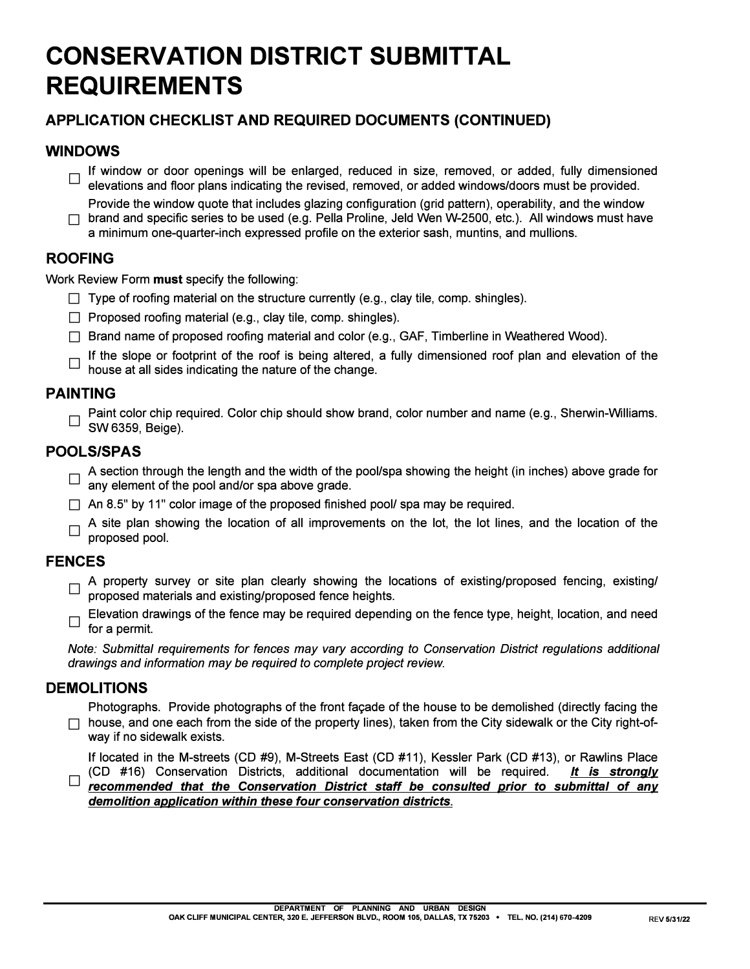# **CONSERVATION DISTRICT SUBMITTAL REQUIREMENTS**

# **APPLICATION CHECKLIST AND REQUIRED DOCUMENTS (CONTINUED)**

# **WINDOWS**

- If window or door openings will be enlarged, reduced in size, removed, or added, fully dimensioned<br>also playetians and floor plans indicating the revised removed as added windows/decay must be provided elevations and floor plans indicating the revised, removed, or added windows/doors must be provided.
- Provide the window quote that includes glazing configuration (grid pattern), operability, and the window  $\Box$  brand and specific series to be used (e.g. Pella Proline, Jeld Wen W-2500, etc.). All windows must have a minimum one-quarter-inch expressed profile on the exterior sash, muntins, and mullions.

# **ROOFING**

Work Review Form **must** specify the following:

- $\Box$  Type of roofing material on the structure currently (e.g., clay tile, comp. shingles).
- $\Box$  Proposed roofing material (e.g., clay tile, comp. shingles).
- □ Brand name of proposed roofing material and color (e.g., GAF, Timberline in Weathered Wood).
- If the slope or footprint of the roof is being altered, a fully dimensioned roof plan and elevation of the house of the shapes. house at all sides indicating the nature of the change.

# **PAINTING**

Paint color chip required. Color chip should show brand, color number and name (e.g., Sherwin-Williams. SW 6359, Beige).

# **POOLS/SPAS**

- $\Box$  A section through the length and the width of the pool/spa showing the height (in inches) above grade for any element of the pool and/or spa above grade.
- $\Box$  An 8.5" by 11" color image of the proposed finished pool/ spa may be required.
- $\Box$  A site plan showing the location of all improvements on the lot, the lot lines, and the location of the necessarily proposed pool.

## **FENCES**

- D A property survey or site plan clearly showing the locations of existing/proposed fencing, existing/ proposed materials and existing/proposed fence heights.
- Elevation drawings of the fence may be required depending on the fence type, height, location, and need<br>  $\Box$  for a narmit for a permit.

*Note: Submittal requirements for fences may vary according to Conservation District regulations additional drawings and information may be required to complete project review.* 

## **DEMOLITIONS**

Photographs. Provide photographs of the front facade of the house to be demolished (directly facing the  $\Box$  house, and one each from the side of the property lines), taken from the City sidewalk or the City right-ofway if no sidewalk exists.

If located in the M-streets (CD #9), M-Streets East (CD #11), Kessler Park (CD #13), or Rawlins Place<br>(CD #16) Conservation Districts, additional documentation will be required. It is strongly (CD #16) Conservation Districts, additional documentation will be required. *recommended that the Conservation District staff be consulted prior to submittal of any demolition application within these four conservation districts.*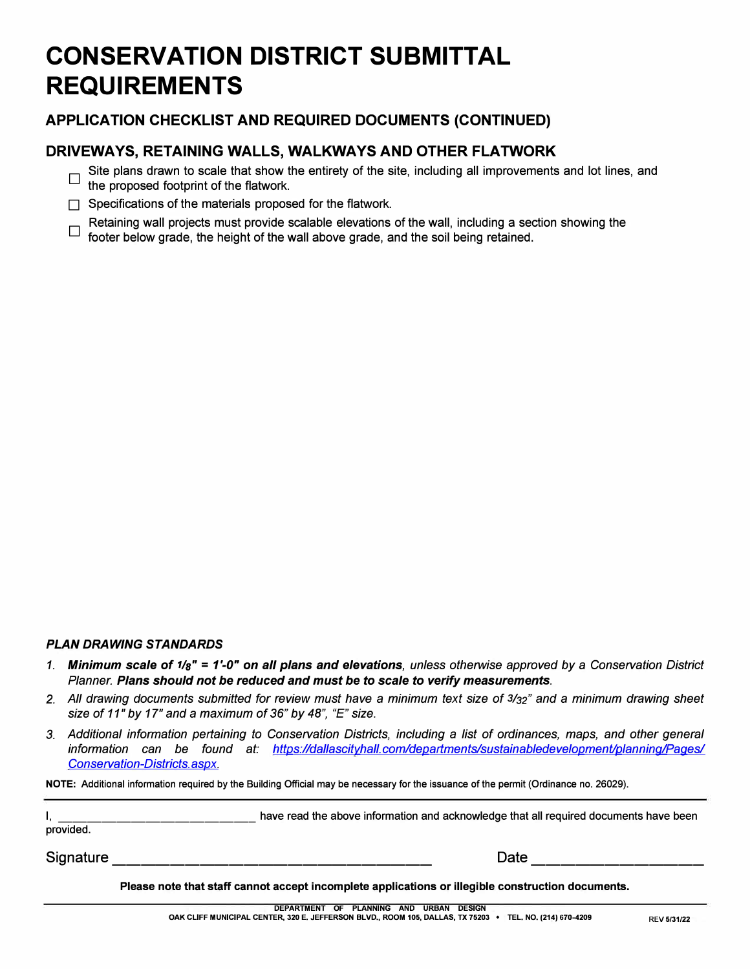# **CONSERVATION DISTRICT SUBMITTAL REQUIREMENTS**

### **APPLICATION CHECKLIST AND REQUIRED DOCUMENTS (CONTINUED)**

### **DRIVEWAYS, RETAINING WALLS, WALKWAYS AND OTHER FLA TWORK**

- $\square$  Site plans drawn to scale that show the entirety of the site, including all improvements and lot lines, and the prepared featurint of the flatuer is the proposed footprint of the flatwork.
- $\Box$  Specifications of the materials proposed for the flatwork.
- Retaining wall projects must provide scalable elevations of the wall, including a section showing the footer below grade, the height of the wall above grade, and the soil being retained.

#### *PLAN DRAWING STANDARDS*

- *1. Minimum scale of 1/s"* **=** *1'-0" on all plans and elevations, unless otherwise approved by* a *Conservation District Planner. Plans should not be reduced and must be to scale to verify measurements.*
- *2. All drawing documents submitted for review must have* a *minimum text size of 3/J2'' and* a *minimum drawing sheet size of 11" by 17" and* a *maximum of 36" by 48", "E" size.*
- 3. Additional information pertaining to Conservation Districts, including a list of ordinances, maps, and other general information can be found at: https://dallascitvhall.com/departments/sustainabledevelopment/planning/Pages/ *Conservation-Districts. aspx.*

**NOTE: Additional information required by the Building Official may be necessary for the issuance of the permit (Ordinance no. 26029).** 

| provided. | have read the above information and acknowledge that all required documents have been |  |
|-----------|---------------------------------------------------------------------------------------|--|
| Signature | Date                                                                                  |  |

**Please note that staff cannot accept incomplete applications or illegible construction documents.**